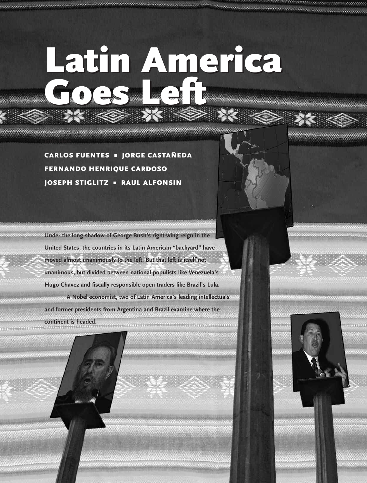## **Latin America Goes Left Latin America Goes Left**

**CARLOS FUENTES** ■ **JORGE CASTAÑEDA FERNANDO HENRIQUE CARDOSO JOSEPH STIGLITZ** ■ **RAUL ALFONSIN**

**Intro Here**

**Under the long shadow of George Bush's right-wing reign in the United States, the countries in its Latin American "backyard" have moved almost unanimously to the left. But that left is itself not unanimous, but divided between national populists like Venezuela's Hugo Chavez and fiscally responsible open traders like Brazil's Lula. A Nobel economist, two of Latin America's leading intellectuals and former presidents from Argentina and Brazil examine where the continent is headed.**

54 **SPRING 2006 SPRING 2006 SPRING 2006 SPRING 2006**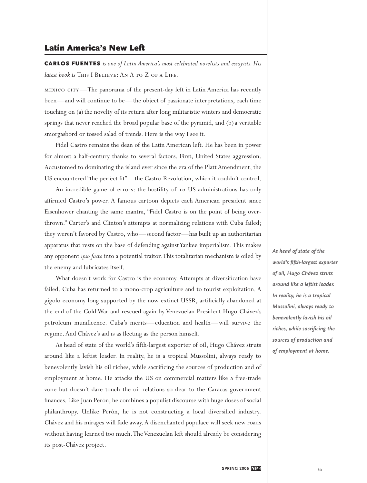## **Latin America's New Left**

**CARLOS FUENTES** *is one of Latin America's most celebrated novelists and essayists. His latest book is* THIS I BELIEVE: AN A TO Z OF A LIFE.

mexico city—The panorama of the present-day left in Latin America has recently been—and will continue to be—the object of passionate interpretations, each time touching on (a) the novelty of its return after long militaristic winters and democratic springs that never reached the broad popular base of the pyramid, and (b) a veritable smorgasbord or tossed salad of trends. Here is the way I see it.

Fidel Castro remains the dean of the Latin American left. He has been in power for almost a half-century thanks to several factors. First, United States aggression. Accustomed to dominating the island ever since the era of the Platt Amendment, the US encountered "the perfect fit"—the Castro Revolution, which it couldn't control.

An incredible game of errors: the hostility of 10 US administrations has only affirmed Castro's power. A famous cartoon depicts each American president since Eisenhower chanting the same mantra, "Fidel Castro is on the point of being overthrown." Carter's and Clinton's attempts at normalizing relations with Cuba failed; they weren't favored by Castro, who—second factor—has built up an authoritarian apparatus that rests on the base of defending against Yankee imperialism. This makes any opponent *ipso facto* into a potential traitor.This totalitarian mechanism is oiled by the enemy and lubricates itself.

What doesn't work for Castro is the economy. Attempts at diversification have failed. Cuba has returned to a mono-crop agriculture and to tourist exploitation. A gigolo economy long supported by the now extinct USSR, artificially abandoned at the end of the Cold War and rescued again by Venezuelan President Hugo Chávez's petroleum munificence. Cuba's merits—education and health—will survive the regime. And Chávez's aid is as fleeting as the person himself.

As head of state of the world's fifth-largest exporter of oil, Hugo Chávez struts around like a leftist leader. In reality, he is a tropical Mussolini, always ready to benevolently lavish his oil riches, while sacrificing the sources of production and of employment at home. He attacks the US on commercial matters like a free-trade zone but doesn't dare touch the oil relations so dear to the Caracas government finances. Like Juan Perón, he combines a populist discourse with huge doses of social philanthropy. Unlike Perón, he is not constructing a local diversified industry. Chávez and his mirages will fade away. A disenchanted populace will seek new roads without having learned too much.The Venezuelan left should already be considering its post-Chávez project.

*As head of state of the world's fifth-largest exporter of oil, Hugo Chávez struts around like a leftist leader. In reality, he is a tropical Mussolini, always ready to benevolently lavish his oil riches, while sacrificing the sources of production and of employment at home.*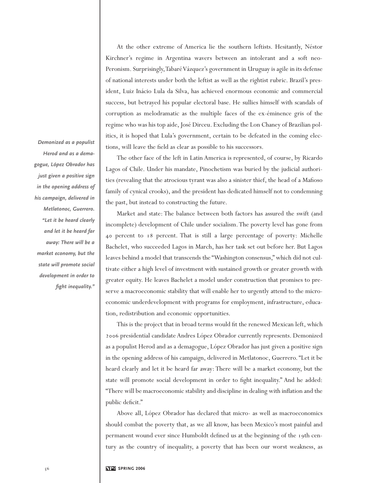At the other extreme of America lie the southern leftists. Hesitantly, Néstor Kirchner's regime in Argentina wavers between an intolerant and a soft neo-Peronism. Surprisingly,Tabaré Vázquez's government in Uruguay is agile in its defense of national interests under both the leftist as well as the rightist rubric. Brazil's president, Luiz Inácio Lula da Silva, has achieved enormous economic and commercial success, but betrayed his popular electoral base. He sullies himself with scandals of corruption as melodramatic as the multiple faces of the ex-éminence gris of the regime who was his top aide, José Dirceu. Excluding the Lon Chaney of Brazilian politics, it is hoped that Lula's government, certain to be defeated in the coming elections, will leave the field as clear as possible to his successors.

The other face of the left in Latin America is represented, of course, by Ricardo Lagos of Chile. Under his mandate, Pinochetism was buried by the judicial authorities (revealing that the atrocious tyrant was also a sinister thief, the head of a Mafioso family of cynical crooks), and the president has dedicated himself not to condemning the past, but instead to constructing the future.

Market and state: The balance between both factors has assured the swift (and incomplete) development of Chile under socialism.The poverty level has gone from 40 percent to 18 percent. That is still a large percentage of poverty: Michelle Bachelet, who succeeded Lagos in March, has her task set out before her. But Lagos leaves behind a model that transcends the "Washington consensus," which did not cultivate either a high level of investment with sustained growth or greater growth with greater equity. He leaves Bachelet a model under construction that promises to preserve a macroeconomic stability that will enable her to urgently attend to the microeconomic underdevelopment with programs for employment, infrastructure, education, redistribution and economic opportunities.

This is the project that in broad terms would fit the renewed Mexican left, which 2006 presidential candidate Andres López Obrador currently represents. Demonized as a populist Herod and as a demagogue, López Obrador has just given a positive sign in the opening address of his campaign, delivered in Metlatonoc, Guerrero. "Let it be heard clearly and let it be heard far away: There will be a market economy, but the state will promote social development in order to fight inequality." And he added: "There will be macroeconomic stability and discipline in dealing with inflation and the public deficit."

Above all, López Obrador has declared that micro- as well as macroeconomics should combat the poverty that, as we all know, has been Mexico's most painful and permanent wound ever since Humboldt defined us at the beginning of the 19th century as the country of inequality, a poverty that has been our worst weakness, as

*Demonized as a populist Herod and as a demagogue, López Obrador has just given a positive sign in the opening address of his campaign, delivered in Metlatonoc, Guerrero. "Let it be heard clearly and let it be heard far away: There will be a market economy, but the state will promote social development in order to fight inequality."*